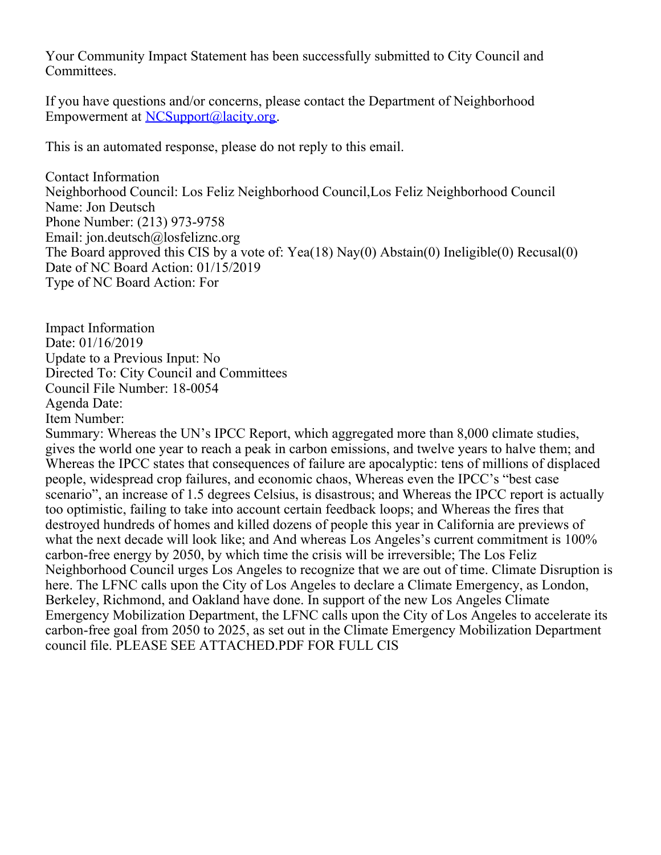Your Community Impact Statement has been successfully submitted to City Council and Committees.

If you have questions and/or concerns, please contact the Department of Neighborhood Empowerment at [NCSupport@lacity.org](mailto:NCSupport@lacity.org).

This is an automated response, please do not reply to this email.

Contact Information Neighborhood Council: Los Feliz Neighborhood Council,Los Feliz Neighborhood Council Name: Jon Deutsch Phone Number: (213) 973-9758 Email: jon.deutsch@losfeliznc.org The Board approved this CIS by a vote of: Yea(18) Nay(0) Abstain(0) Ineligible(0) Recusal(0) Date of NC Board Action: 01/15/2019 Type of NC Board Action: For

Impact Information Date: 01/16/2019 Update to a Previous Input: No Directed To: City Council and Committees Council File Number: 18-0054 Agenda Date: Item Number:

Summary: Whereas the UN's IPCC Report, which aggregated more than 8,000 climate studies, gives the world one year to reach a peak in carbon emissions, and twelve years to halve them; and Whereas the IPCC states that consequences of failure are apocalyptic: tens of millions of displaced people, widespread crop failures, and economic chaos, Whereas even the IPCC's "best case scenario", an increase of 1.5 degrees Celsius, is disastrous; and Whereas the IPCC report is actually too optimistic, failing to take into account certain feedback loops; and Whereas the fires that destroyed hundreds of homes and killed dozens of people this year in California are previews of what the next decade will look like; and And whereas Los Angeles's current commitment is 100% carbon-free energy by 2050, by which time the crisis will be irreversible; The Los Feliz Neighborhood Council urges Los Angeles to recognize that we are out of time. Climate Disruption is here. The LFNC calls upon the City of Los Angeles to declare a Climate Emergency, as London, Berkeley, Richmond, and Oakland have done. In support of the new Los Angeles Climate Emergency Mobilization Department, the LFNC calls upon the City of Los Angeles to accelerate its carbon-free goal from 2050 to 2025, as set out in the Climate Emergency Mobilization Department council file. PLEASE SEE ATTACHED.PDF FOR FULL CIS